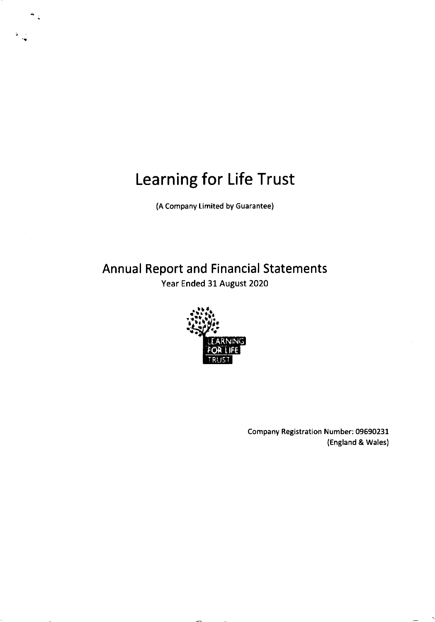(A Company Limited by Guarantee)

Annual Report and Financial Statements Year Ended 3l August 2020



Company Registration Number: 09590231 (England & Wales)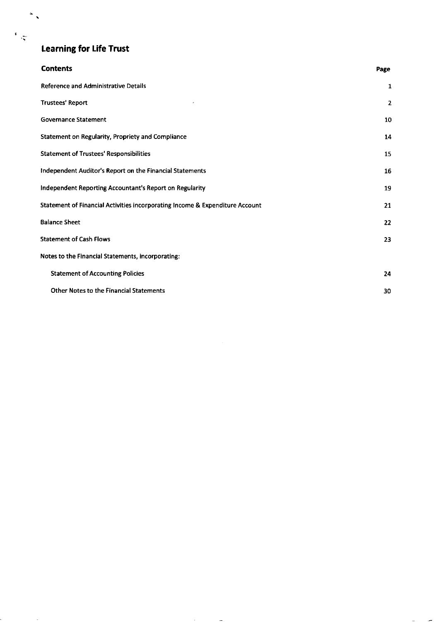$\frac{d}{dt}$ 

 $\sim 10^{-10}$ 

 $\frac{1}{2}$ 

| <b>Contents</b>                                                              | Page           |
|------------------------------------------------------------------------------|----------------|
| <b>Reference and Administrative Details</b>                                  | 1              |
| <b>Trustees' Report</b>                                                      | $\overline{2}$ |
| <b>Governance Statement</b>                                                  | 10             |
| Statement on Regularity, Propriety and Compliance                            | 14             |
| <b>Statement of Trustees' Responsibilities</b>                               | 15             |
| Independent Auditor's Report on the Financial Statements                     | 16             |
| Independent Reporting Accountant's Report on Regularity                      | 19             |
| Statement of Financial Activities incorporating Income & Expenditure Account | 21             |
| <b>Balance Sheet</b>                                                         | 22             |
| <b>Statement of Cash Flows</b>                                               | 23             |
| Notes to the Financial Statements, incorporating:                            |                |
| <b>Statement of Accounting Policies</b>                                      | 24             |
| <b>Other Notes to the Financial Statements</b>                               | 30             |

 $\sim$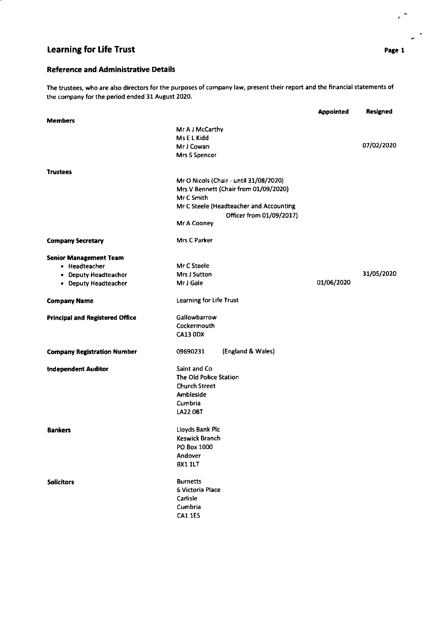## Reference and Administrative Details

The trustees, who are also directors for the purposes of company law, present their report and the financial statements of the company for the period ended 3l August 2020.

|                                        |                                         | <b>Appointed</b> | Resigned   |
|----------------------------------------|-----------------------------------------|------------------|------------|
| <b>Members</b>                         |                                         |                  |            |
|                                        | Mr A J McCarthy                         |                  |            |
|                                        | Ms E L Kidd                             |                  |            |
|                                        | Mr J Cowan                              |                  | 07/02/2020 |
|                                        | Mrs S Spencer                           |                  |            |
| <b>Trustees</b>                        |                                         |                  |            |
|                                        | Mr O Nicols (Chair - until 31/08/2020)  |                  |            |
|                                        | Mrs V Bennett (Chair from 01/09/2020)   |                  |            |
|                                        | Mr C Smith                              |                  |            |
|                                        | Mr C Steele (Headteacher and Accounting |                  |            |
|                                        | Officer from 01/09/2017)                |                  |            |
|                                        | Mr A Cooney                             |                  |            |
| <b>Company Secretary</b>               | <b>Mrs C Parker</b>                     |                  |            |
| <b>Senior Management Team</b>          |                                         |                  |            |
| • Headteacher                          | Mr C Steele                             |                  |            |
| • Deputy Headteacher                   | Mrs J Sutton                            |                  | 31/05/2020 |
| • Deputy Headteacher                   | Mr J Gale                               | 01/06/2020       |            |
| <b>Company Name</b>                    | <b>Learning for Life Trust</b>          |                  |            |
| <b>Principal and Registered Office</b> | Gallowbarrow                            |                  |            |
|                                        | Cockermouth                             |                  |            |
|                                        | <b>CA13 0DX</b>                         |                  |            |
| <b>Company Registration Number</b>     | (England & Wales)<br>09690231           |                  |            |
| Independent Auditor                    | Saint and Co                            |                  |            |
|                                        | The Old Police Station                  |                  |            |
|                                        | <b>Church Street</b>                    |                  |            |
|                                        | Ambleside                               |                  |            |
|                                        | Cumbria                                 |                  |            |
|                                        | <b>LA22 0BT</b>                         |                  |            |
| <b>Bankers</b>                         | Lloyds Bank Plc                         |                  |            |
|                                        | Keswick Branch                          |                  |            |
|                                        | PO Box 1000                             |                  |            |
|                                        | Andover                                 |                  |            |
|                                        | <b>BX1 1LT</b>                          |                  |            |
| <b>Solicitors</b>                      | <b>Burnetts</b>                         |                  |            |
|                                        | 6 Victoria Place                        |                  |            |
|                                        | Carlisle                                |                  |            |
|                                        | Cumbria                                 |                  |            |
|                                        | <b>CA1 1ES</b>                          |                  |            |
|                                        |                                         |                  |            |

Page 1

 $\epsilon^{-\frac{1}{2}}$ 

 $\mathbf{v}^{\prime}$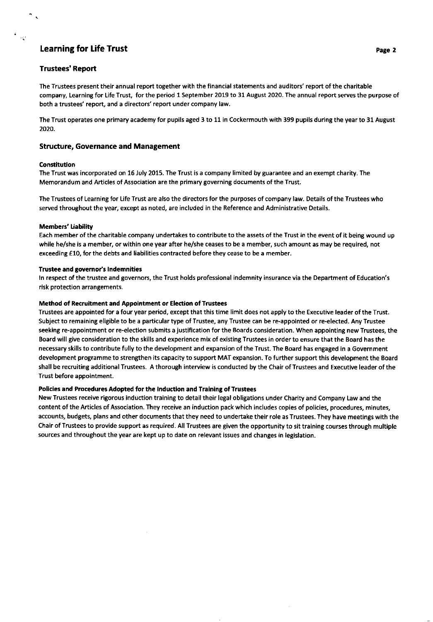## Trustees' Report

 $\mathcal{L}^{\prime}$ 

The Trustees present their annual report together with the financial statements and auditors' report of the charitable company, Learning for Life Trust, for the period 1 September 2019 to 31 August 2020. The annual report serves the purpose of both a trustees' report, and a directors'report under company law.

The Trust operates one primary academy for pupils aged 3 to 11 in Cockermouth with 399 pupils during the year to 31 August 2020.

## Structure, Governance and Management

#### Constitution

The Trust was incorporated on 15 July 2015, The Trust is a company limited by guarantee and an exempt charity. The Memorandum and Articles of Association are the primary governing documents of the Trust.

The Trustees of Learning for Life Trust are also the directors for the purposes of company law. Details of the Trustees who served throughout the year, except as noted, are included in the Reference and Administrative Details.

#### Members' liability

Each member of the charitable company undertakes to contribute to the assets of the Trust in the event of it being wound up while he/she is a member, or within one year after he/she ceases to be a member, such amount as may be required, not exceeding €10, for the debts and liabilities contracted before they cease to be a member.

#### Trustee and governor's Indemnities

ln respect of the trustee and governors, the Trust holds professional indemnity insurance via the Department of Education's risk protection arrangements.

#### Method of Recruitment and Appointment or Election of Trustees

Trustees are appointed for a four year period, except that this time limit does not apply to the Executive leader of the Trust. Subject to remaining eligible to be a particular type of Trustee, any Trustee can be re-appointed or re-elected. Any Trustee seeking re-appointment or re-election submits a justification for the Eoards consideration. When appointing new Trustees, the Board will give consideration to the skills and experience mix of existing Trustees in order to ensure that the Board has the necessary skills to contribute fully to the development and expansion of the Trust. The Board has engaged in a Government development programme to strengthen its capacity to support MAT expansion. To further support this development the Board shall be recruiting additional Trustees. A thorough interview is conducted by the Chair of Trustees and Executive leader of the Trust before appointment.

### Policies and Procedures Adopted for the Induction and Training of Trustees

New Trustees receive rigorous induction training to detail their legal obligations under Charity and Company Law and the content of the Articles of Association. They receive an induction pack which includes copies of policies, procedures, minutes, accounts, budgets, plans and other documents that they need to undertake their role as Trustees. They have meetings with the Chair of Trustees to provide support as required. All Trustees are given the opportunity to sit training courses through multiple sources and throughout the year are kept up to date on relevant issues and changes in legislation.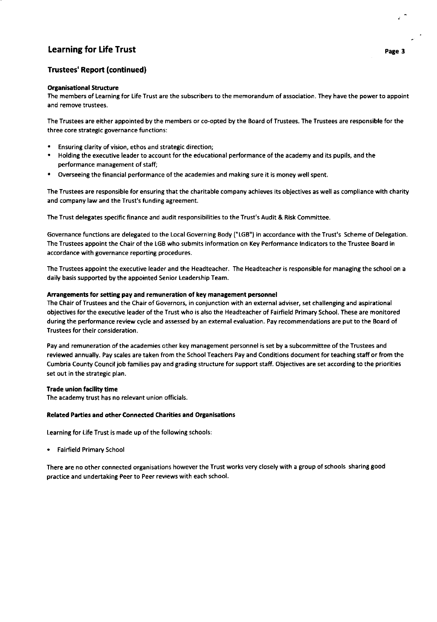## Trustees' Report (continued)

## **Organisational Structure**

The members of Leaming for Life Trust are the subscribers to the memorandum of association. They have the power to appoint and remove trustees.

The Trustees are either appointed by the members or co-opted by the Board of Trustees. The Trustees are responsible for the three core strategic governance functions:

- Ensuring clarity of vision, ethos and strategic direction;
- . Holding the executive leader to account for the educational performance ofthe academy and its pupils, and the performance management of staff;
- Overseeing the financial performance of the academies and making sure it is money well spent.

The Trustees are responsible for ensuring that the charitable company achieves its objectives as well as compliance with charity and company law and the Trust's funding agreement.

The Trust delegates specific finance and audit responsibilities to the Trust's Audit & Risk Committee.

Governance functions are delegated to the Local Governing Body ("LGB") in accordance with the Trust's Scheme of Delegation. The Trustees appoint the Chair of the LGB who submits information on Key Performance lndicators to the Trustee Board in accordance with governance reporting procedures.

The Trustees appoint the executive leader and the Headteacher, The Headteacher is responsible for managing the school on a daily basis supported by the appointed Senior Leadership Team.

## Arrangements for setting pay and remuneration of key management personnel

The Chair of Trustees and the Chair of Governors, in conjunction with an external adviser, set challenging and aspirational objectives for the executive leader of the Trust who is also the Headteacher of Fairfield Primary School. These are monitored during the performance review cycle and assessed by an external evaluation. Pay recommendations are put to the Board of Trustees for their consideration.

Pay and remuneration of the academies other key management personnel is set by a subcommittee ofthe Trustees and reviewed annually. Pay scales are taken from the school Teachers Pay and Conditions document for teaching staff or from the Cumbria County Council job families pay and grading structure for support staff. Objectives are set according to the priorities set out in the strategic plan.

#### Trade union facility time

The academy trust has no relevant union officials.

#### Related Parties and other Connected Charities and Organisations

Learning for Life Trust is made up of the following schools:

. Fairfield Primary School

There are no other connected organisations however the Trust works very closely with a group of schools sharing good practice and undertaking Peer to Peer reviews with each school.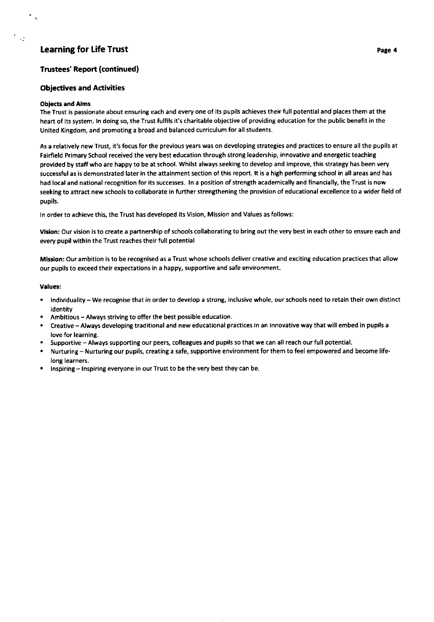## Trustees' Report (continued)

## Objectives and Activities

### Oblects and Aims

 $\cdot$  :

The Trust is passionate about ensuring each and every one of its pupils achieves their full potential and places them at the heart of its system. ln doing so, the Trust fulfils it's charitable obiective of providing education for the public benefit in the United Kingdom, and promoting a broad and balanced curriculum for all students.

As a relatively new Trust, it's focus for the previous years was on developing strategies and practices to ensure all the pupils at Fairfield Primary School received the very best education through strong leadership, innovative and energetic teaching provided by staff who are happy to be at school. Whilst always seeking to develop and improve, this strategy has been very successful as is demonstrated later in the attainment section of this report. It is a high performing school in all areas and has had local and national recognition for its successes. In a position of strength academically and financially, the Trust is now seeking to attract new schools to collaborate in further strengthening the provision of educational excellence to a wider field of pupils.

ln order to achieve this, the Trust has developed its Vision, Mission and Values as follows:

vislon: Our vision is to create a partnership of schools collaborating to bring out the very best in each other to ensure each and every pupil within the Trust reaches their full potential

Mission: Our ambition is to be recognised as a Trust whose schools deliver creative and exciting education practices that allow our pupils to exceed their expectations in a happy, supportive and safe environment.

#### values:

- . lndividuality We recognise that in order to develop a strong, inclusive whole, our schools need to retain their own distinct identitv
- . Ambitious Always striving to offer the best possible education.
- Creative Always developing traditional and new educational practices in an innovative way that will embed in pupils a love for learning.
- . Supportive Always supporting our peers, colleagues and pupils so that we can all reach our full potential.
- Nurturing Nurturing our pupils, creating a safe, supportive environment for them to feel empowered and become lifelong learners.
- . lnspiring lnspiring everyone in our Trust to be the very best they can be.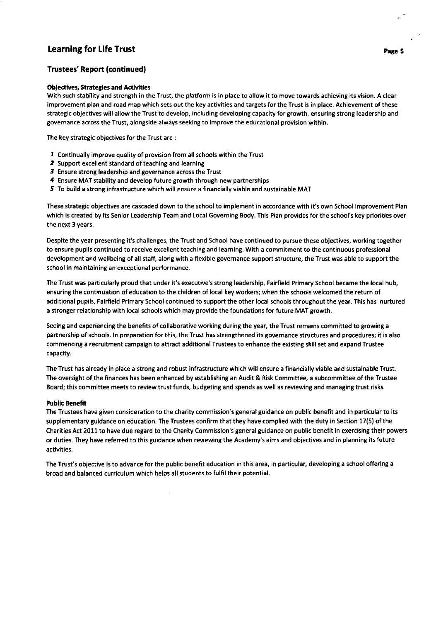## Trustees' Report (continued!

#### **Objectives, Strategies and Activities**

With such stability and strength in the Trust, the platform is in place to allow it to move towards achieving its vision. A clear improvement plan and road map which sets out the key activities and targets for the Trust is in place. Achievement of these strategic objectives will allow the Trust to develop, including developing capacity for growth, ensuring strong leadership and governance across the Trust, alongside always seeking to improve the educational provision within.

The key strategic obiectives for the Trust are :

- 1 Continually improve quality of provision from all schools within the Trust
- 2 Support excellent standard of teaching and learning
- 3 Ensure strong leadership and governance across the Trust
- $4$  Ensure MAT stability and develop future growth through new partnerships
- 5 To build a strong infrastructure which will ensure a financially viable and sustainable MAT

These strategic objectives are cascaded down to the school to implement in accordance with it's own School Improvement Plan which is created by its Senior Leadership Team and Local Governing Body. This Plan provides for the school's key priorities over the next 3 years.

Despite the year presenting it's challenges, the Trust and School have continued to pursue these objectives, working together to ensure pupils continued to receive excellent teaching and learning. With a commitment to the continuous professional development and wellbeing of all staff, along with a flexible governance support structure, the Trust was able to support the school in maintaining an exceptional performance.

The Trust was particularly proud that under it's executive's strong leadership, Fairfield Primary School became the local hub, ensuring the continuation ofeducation to the children of local key workers; when the schools welcomed the return of additional pupils, Fairfield Primary School continued to support the other local schools throughout the year. This has nurtured a stronger relationship with local schools which may provide the foundations for future MAT growth,

Seeing and experiencing the benefits of collaborative working during the year, the Trust remains committed to growing a partnership of schools. ln preparation for this, the Trust has strengthened its governance structures and procedures; it is also commencing a recruitment campaign to attract additional Trustees to enhance the existing skill set and expand Trustee capacity.

The Trust has already in place a strong and robust infrastructure which will ensure a financially viable and sustainable Trust. The oversight of the finances has been enhanced by establishing an Audit & Risk committee, a subcommittee of the Trustee Board; this committee meets to review trust funds, budgeting and spends as well as reviewing and managing trust risks.

#### Public Benefit

The Trustees have given consideration to the charity commission's general guidance on public benefit and in particular to its supplementary guidance on education. The Trustees confirm that they have complied with the duty in Section 17(5) of the Charities Act 2011 to have due regard to the Charity Commission's general guidance on public benefit in exercising their powers or duties. They have referred to this guidance when reviewing the Academy's aims and objectives and in planning its future activities.

The Trust's obiective is to advance for the public benefit education in this area, in particular, developing a school offering <sup>a</sup> broad and balanced curriculum which helps all students to fulfil their potential.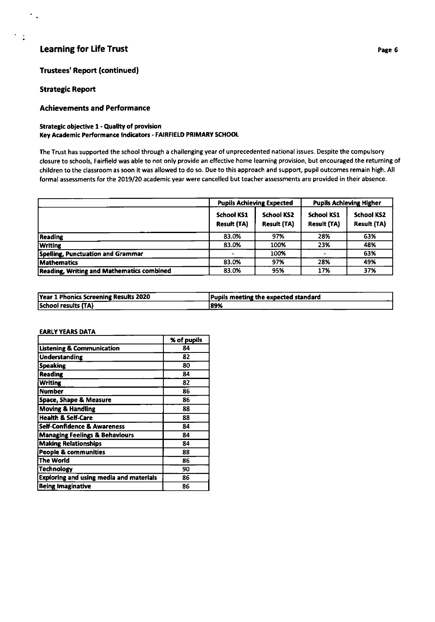## Trustees' Report (continuedl

## Strategic Report

 $\bullet$ 

## Achievements and Performance

## Strategic objective 1 - Quality of provision

## Key Academic Performance Indicators - FAIRFIELD PRIMARY SCHOOL

The Trust has supported the school through a challenging year of unprecedented national issues. Despite the compulsory closure to schools, Fairfield was able to not only provide an effective home learning provision, but encouraged the returning of children to the classroom as soon it was allowed to do so. Due to this approach and support, pupil outcomes remain high. All formal assessments for the 2019/20 academic year were cancelled but teacher assessments are provided in their absence.

|                                                  | <b>Pupils Achieving Expected</b>        |                                         | <b>Pupils Achieving Higher</b>          |                                         |
|--------------------------------------------------|-----------------------------------------|-----------------------------------------|-----------------------------------------|-----------------------------------------|
|                                                  | <b>School KS1</b><br><b>Result (TA)</b> | <b>School KS2</b><br><b>Result (TA)</b> | <b>School KS1</b><br><b>Result (TA)</b> | <b>School KS2</b><br><b>Result (TA)</b> |
| <b>Reading</b>                                   | 83.0%                                   | 97%                                     | 28%                                     | 63%                                     |
| <b>Writing</b>                                   | 83.0%                                   | 100%                                    | 23%                                     | 48%                                     |
| Spelling, Punctuation and Grammar                |                                         | 100%                                    |                                         | 63%                                     |
| <b>Mathematics</b>                               | 83.0%                                   | 97%                                     | 28%                                     | 49%                                     |
| <b>Reading, Writing and Mathematics combined</b> | 83.0%                                   | 95%                                     | 17%                                     | 37%                                     |

| Year 1 Phonics Screening Results 2020 | Pupils meeting the expected standard |
|---------------------------------------|--------------------------------------|
| School results (TA)                   | 189%                                 |

#### EARLY YEARS DATA

|                                                | % of pupils |
|------------------------------------------------|-------------|
| <b>Listening &amp; Communication</b>           | 84          |
| <b>Understanding</b>                           | 82          |
| <b>Speaking</b>                                | 80          |
| <b>Reading</b>                                 | 84          |
| <b>Writing</b>                                 | 82          |
| <b>Number</b>                                  | 86          |
| <b>Space, Shape &amp; Measure</b>              | 86          |
| <b>Moving &amp; Handling</b>                   | 88          |
| <b>Health &amp; Self-Care</b>                  | 88          |
| <b>Self-Confidence &amp; Awareness</b>         | 84          |
| <b>Managing Feelings &amp; Behaviours</b>      | 84          |
| <b>Making Relationships</b>                    | 84          |
| <b>People &amp; communities</b>                | 88          |
| <b>The World</b>                               | 86          |
| <b>Technology</b>                              | 90          |
| <b>Exploring and using media and materials</b> | 86          |
| <b>Being Imaginative</b>                       | 86          |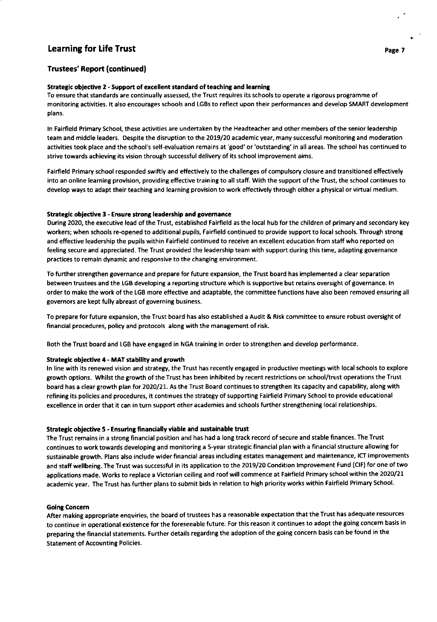## Trustees' Report (continuedf

## Strategic objective 2 - Support of excellent standard of teaching and learning

To ensure that standards are continually assessed, the Trust requires its schools to operate a rigorous programme of monitoring activities. It also encourages schools and LGBs to reflect upon their performances and develop SMART development plans.

ln Fairfield Primary School, these activities are undertaken by the Headteacher and other members of the senior leadership team and middle leaders. Despite the disruption to the 2019/20 academic year, many successful monitoring and moderation activities took place and the school's self-evaluation remains at 'good' or 'outstanding' in all areas. The school has continued to strive towards achieving its vision through successful delivery of its school improvement aims.

Fairfield Primary school responded swiftly and effectively to the challenges of compulsory closure and transitioned effectively into an online learning provision, providing effective training to all staff. With the support of the Trust, the school continues to develop ways to adapt their teaching and learning provision to work effectively through either a physical or virtual medium.

#### Strategic objective 3 - Ensure strong leadership and governance

During 2020, the executive lead ofthe Trust, established Fairfield as the local hub forthe children of primary and secondary key workers; when schools re-opened to additional pupils, Fairfield continued to provide support to local schools. Through strong and effective leadership the pupils within Fairfield continued to receive an excellent education from staff who reported on feeling secure and appreciated. The Trust provided the leadership team with support during this time, adapting governance practices to remain dynamic and responsive to the changing environment.

To further strengthen governance and prepare for future expansion, the Trust board has implemented a clear separation between trustees and the LGB developing a reporting structure which is supportive but retains oversight of governance. In order to make the work ofthe LGB more effective and adaptable, the committee functions have also been removed ensuring all governors are kept fully abreast of governing business.

To prepare for future expansion, the Trust board has also established a Audit & Risk committee to ensure robust oversight of financial procedures, policy and protocols along with the management of risk.

Both the Trust board and LGB have engaged in NGA training in order to strengthen and develop performance.

#### Strategic objective 4 - MAT stability and growth

ln line with its renewed vision and strategy, the Trust has recently engaged in productive meetings with local schools to explore growth options. Whilst the growth of the Trust has been inhibited by recent restrictions on school/trust operations the Trust board has a clear growth plan for 2020/21. As the Trust Board continues to strengthen its capacity and capability, along with refining its policies and procedures, it continues the strategy of supporting Fairfield Primary School to provide educational excellence in order that it can in turn support other academies and schools further strengthening local relationships.

#### Strategic objective 5 - Ensuring financially viable and sustainable trust

The Trust remains in a strong financial position and has had a long track record of secure and stable finances. The Trust continues to work towards developing and monitoring a s-year strategic financial plan with a financial structure allowing for sustainable growth. Plans also include wider financial areas including estates management and maintenance, ICT improvements and staff wellbeing. The Trust was successful in its application to the 2019/20 Condition lmprovement Fund (ClF) for one of two applications made. Works to replace a Victorian ceiling and roof will commence at Fairfield Primary school within the 2020/21 academic year. The Trust has further plans to submit bids in relation to high priority works within Fairfield Primary School.

#### **Going Concern**

After making appropriate enquiries, the board of trustees has a reasonable expectation that the Trust has adequate resources to continue in operational existence for the foreseeable future. For this reason it continues to adopt the going concern basis in preparing the financial statements. Further details regarding the adoption of the going concern basis can be found in the Statement of Accounting Policies.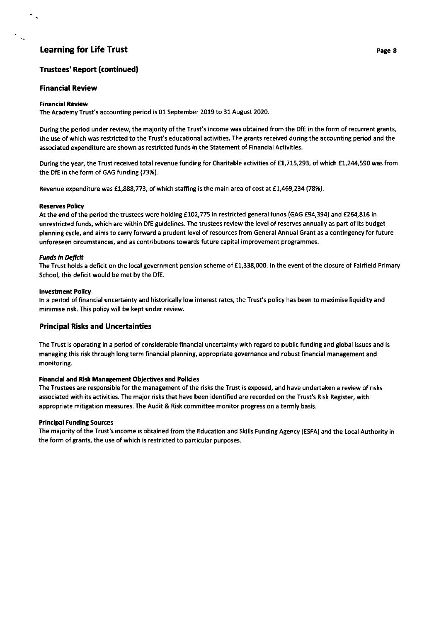## Trustees' Report (continuedl

## Financial Review

### Financial Review

 $\mathbf{r}$ 

The Academy Trust's accounting period is 01 September 2019 to 31 August 2020.

During the period under review, the majority of the Trust's income was obtained from the DfE in the form of recurrent grants, the use of which was restricted to the Trust's educational activities. The grants received during the accounting period and the associated expenditure are shown as restricted funds in the Statement of Financial Activities.

During the year, the Trust received total revenue funding for Charitable activities of £1,715,293, of which £1,244,590 was from the DfE in the form of GAG funding {73%).

Revenue expenditure was £1,888,773, of which staffing is the main area of cost at £1,469,234 (78%).

### Reserves Policy

At the end of the period the trustees were holding £102,775 in restricted general funds (GAG £94,394) and £264,816 in unrestricted funds, which are within DfE guidelines. The trustees review the level of reserves annually as part of its budget planning cycle, and aims to carry forward a prudent level of resources from General Annual Grant as a contingency for future unforeseen circumstances, and as contributions towards future capital improvement programmes.

### **Funds in Deficit**

The Trust holds a deficit on the local government pension scheme of £1,338,000. In the event of the closure of Fairfield Primary School, this deficit would be met by the DfE.

### **Investment Policy**

ln a period of financial uncertainty and historically low interest rates, the Trust's policy has been to maximise liquidity and minimise risk. This policy will be kept under review.

## Principal Risks and Uncertainties

The Trust is operating in a period of considerable financial uncertainty with regard to public funding and global issues and is managing this risk through long term financial planning, appropriate governance and robust financial management and monitoring.

### Financial and Risk Management Objectives and Policies

The Trustees are responsible for the management of the risks the Trust is exposed, and have undertaken a review of risks associated with its activities. The major risks that have been identified are recorded on the Trust's Risk Register, with appropriate mitigation measures. The Audit & Risk committee monitor progress on a termly basis.

### **Principal Funding Sources**

The majority of the Trust's income is obtained from the Education and Skills Funding Agency (ESFA) and the Local Authority in the form of grants, the use of which is restricted to particular purposes.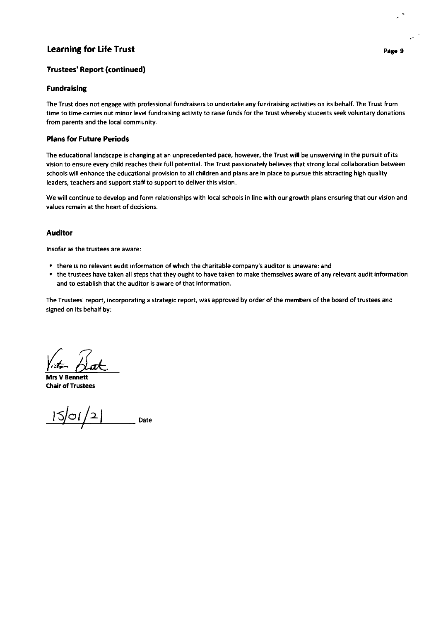## Trustees' Report (continued)

## Fundraising

The Trust does not engage with professional fundraisers to undertake any fundraising activities on its behalf. The Trust from time to time carries out minor level fundraising activity to raise funds for the Trust whereby students seek voluntary donations from parents and the local community.

## Plans for Future Periods

The educational landscape is changing at an unprecedented pace, however, the Trust will be unswerving in the pursuit of its vision to ensure every child reaches their full potential. The Trust passionately believes that strong local collaboration between schools will enhance the educational provision to all children and plans are in place to pursue this attracting high quality leaders, teachers and support staff to support to deliver this vision.

We will continue to develop and form relationships with local schools in line with our growth plans ensuring that our vision and values remain at the heart of decisions.

## Auditor

lnsofar as the trustees are aware:

- . there is no relevant audit information of which the charitable company's auditor is unaware: and
- . the trustees have taken all steps that they ought to have taken to make themselves aware of any relevant a udit information and to establish that the auditor is aware of that information.

The Trustees' report, incorporating a strategic report, was approved by order of the members of the board of trustees and signed on its behalf by:

Mrs V Bennett Chair of Trustees

 $|S|$ 01/2 $|$   $\frac{S}{S}$   $\frac{S}{S}$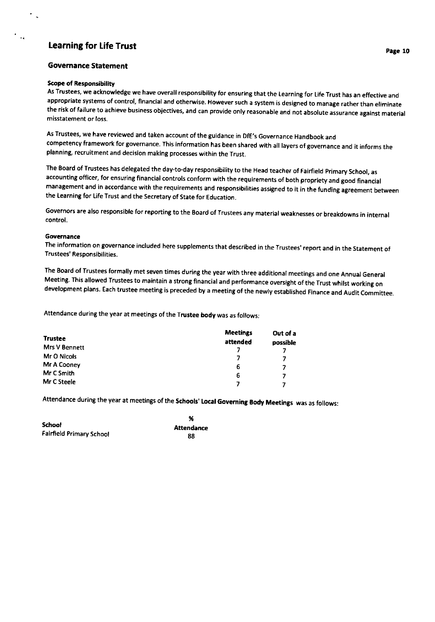## **Governance Statement**

#### Scope of Responsibillty

As Trustees, we acknowledge we have overall responsibility for ensuring that the Learning for Life Trust has an effective and appropriate systems of control, financial and otherwise, However such a system is designed to manage rather than eliminate the risk of failure to achieve business obiectives, and can provide only reasonable and not absolute assurance against material misstatement or loss.

As Trustees, we have reviewed and taken account of the guidance in DfE's Governance Handbook and competency framework for governance. This information has been shared with all layers of governance and it informs the planning, recruitment and decision making processes within the Trust.

The Board of Trustees has delegated the day-to-day responsibility to the Head teacher of Fairfield primary School, as accounting officer, for ensuring financial controls conform with the requirements of both propriety and good financial management and in accordance with the requirements and responsibilities assigned to it in the funding agreement between the Learning for Life Trust and the Secretary of State for Education.

Governors are also responsible for reporting to the Board of Trustees any material weaknesses or breakdowns in internal control.

#### **Governance**

The information on governance included here supplements that described in the Trustees' report and in the Statement of Trustees' Responsibilities.

The Eoard of Trustees formally met seven times during the year with three additional meetings and one Annual General Meeting. This allowed Trustees to maintain a strong financial and performance oversight of the Trust whilst working on development plans. Each trustee meeting is preceded by a meeting of the newly established Finance and Audit committee.

Attendance during the year at meetings of the Trustee body was as follows:

| <b>Trustee</b> | <b>Meetings</b><br>attended | Out of a<br>possible |
|----------------|-----------------------------|----------------------|
| Mrs V Bennett  |                             |                      |
| Mr O Nicols    |                             |                      |
| Mr A Cooney    | 6                           | 7                    |
| Mr C Smith     | 6                           | 7                    |
| Mr C Steele    |                             |                      |

Attendance during the year at meetings of the Schools' Local Governing Body Meetings was as follows:

|                          | %          |
|--------------------------|------------|
| <b>School</b>            | Attendance |
| Fairfield Primary School | 88         |

Page 10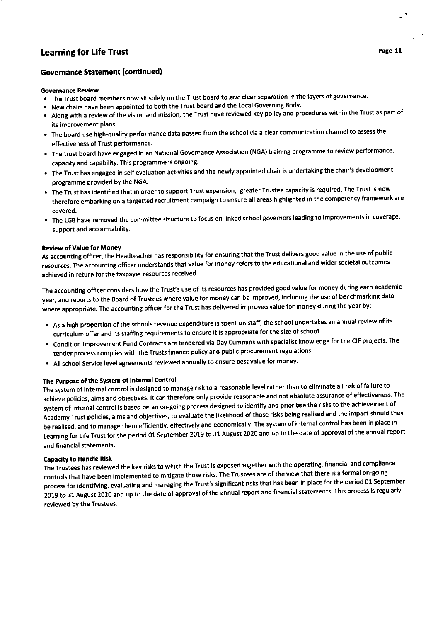## Governance Statement (continued)

## Governance Review

- The Trust board members now sit solely on the Trust board to give clear separation in the layers of governance.
- . New chairs have been appointed to both the Trust board and the Local Governing Body.
- . Along with a review of the vision and mission, the Trust have reviewed key policy and procedures within the Trust as part of its improvement plans.
- . The board use high-quality performance data passed from the school via a clear communication channel to assess the effectiveness of Trust performance.
- . The trust board have engaged in an National Governance Association (NGA) training programme to review performance, capacity and capability. This programme is ongoing.
- . The Trust has engaged in self evaluation activities and the newly appointed chair is undertaking the chair's development programme provided bY the NGA.
- The Trust has identified that in order to support Trust expansion, greater Trustee capacity is required. The Trust is now therefore embarking on a targetted recruitment campaign to ensure all areas highlighted in the competency framework are covered.
- The LGB have removed the committee structure to focus on linked school governors leading to improvements in coverage, support and accountability.

## Review of Value for Money

As accounting officer, the Headteacher has responsibility for ensuring that the Trust delivers good value in the use of public resources. The accounting officer understands that value for money refers to the educational and wider societal outcomes achieved in return for the taxpayet resources received.

The accounting officer considers how the Trust's use of its resources has provided good value for money during each academic year, and reports to the Board of Trustees where value for money can be improved, including the use of benchmarking data where appropriate. The accounting officer for the Trust has delivered improved value for money during the year by:

- . As a high proportion of the schools revenue expenditure is spent on staff, the school undertakes an annual review of its curriculum offer and its staffing requirements to ensure it is appropriate for the size of school.
- . Condition lmprovement Fund contracts are tendered via Day Cummins with specialist knowledge for the CIF projects The tender process complies with the Trusts finance policy and public procurement regulations.
- All school Service level agreements reviewed annually to ensure best value for money.

## The Purpose of the System of Internal Control

The system of internal control is designed to manage risk to a reasonable level rather than to eliminate all risk of failure to achieve policies, aims and objectives. lt can therefore only provide reasonable and not absolute assurance of effectiveness The system of internal control is based on an on-going process designed to identify and prioritise the risks to the achievement of Academy Trust policies, aims and objectives, to evaluate the likelihood of those risks being realised and the impact should thev be realised, and to manage them efficiently, effectively and economically. The system of internal control has been in place in Learning for Life Trust for the period 01 September 2019 to 31 August 2020 and up to the date of approval of the annual report and financial statements.

## Capacity to Handle Risk

The Trustees has reviewed the key risks to which the Trust is exposed together with the operating, financial and compliance controls that have been implemented to mitigate those risks. The Trustees are of the view that there is a formal on-going process for identifying, evaluating and managing the Trust's significant risks that has been in place for the period 01 September 2019 to 31 August 2O2O and up to the date of approval of the annual report and financial statements This process is regularly reviewed by the Trustees.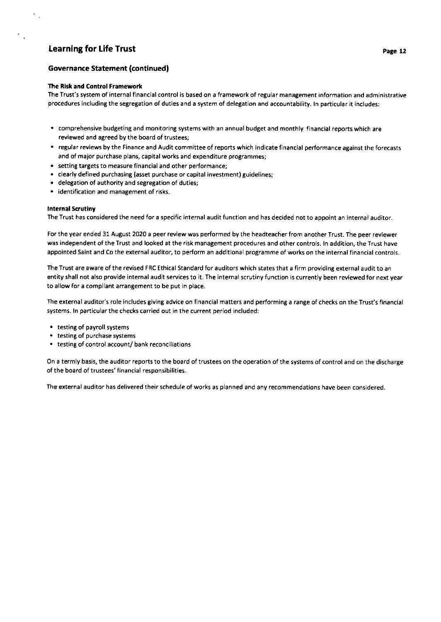$\mathcal{P}_{\mathcal{A},\mathcal{A}}$ 

 $\mathcal{C}_{\mathcal{A}}$ 

## Governance Statement (continued)

## The Risk and Control Framework

The Trust's system of internal flnancial control is based on a framework of regular management information and administrative procedures including the segregation of duties and a system of delegation and accountability. ln particular it includes:

- . comprehensive budgeting and monitoring systems with an annual budget and monthly financial reports which are reviewed and agreed by the board of trustees;
- . regular reviews by the Fina nce an d Audit com mittee of reports which in dicate financial performance against the forecasts and of major purchase plans, capital works and expenditure programmes;
- . setting targets to measure financial and other performance;
- . clearly defined purchasing (asset purchase or capital investment) guidelines;
- delegation of authority and segregation of duties;
- . identification and management of risks.

#### lnternal Scrutiny

The Trust has considered the need for a specific internal audit function and has decided not to appoint an internal auditor.

For the year ended 31 August 2020 a peer review was performed by the headteacher from another Trust. The peer reviewer was independent of the Trust and looked at the risk management procedures and other controls. ln addition, the Trust have appointed Saint and Co the external auditor, to perform an additional programme of works on the internal financial controls.

The Trust are aware of the revised FRC Ethical Standard for auditors which states that a firm providing external audit to an entity shall not also provide internal audit services to it. The internal scrutiny function is currently been reviewed for next year to allow for a compliant arrangement to be put in place.

The external auditor's role includes giving advice on financial matters and performing a range of checks on the Trust's financial systems. ln particular the checks carried out in the current period included:

- . testing of payroll systems
- . testing of purchase systems
- . testing of control account/ bank reconciliations

On a termly basis, the auditor reports to the board of trustees on the operation of the systems of control and on the discharge of the board of trustees' financial responsibilities.

The external auditor has delivered their schedule of works as planned and any recommendations have been considered.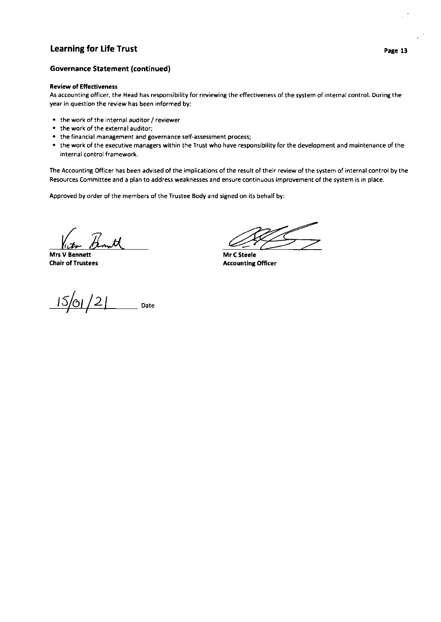## Governance Statement (continued)

#### **Review of Effectiveness**

As accounting officer, the Head has responsibility for reviewing the effectiveness of the system of internal control. During the year in question the review has been informed by:

- the work of the internal auditor / reviewer
- . the work of the externalauditor;
- the financial management and governance self-assessment process;
- . the work of the executive managers within the Trust who have responsibility for the development and maintenance of the internal control framework.

The Accounting Officer has been advised of the implications of the result of their review of the system of internal control by the Resources Committee and a plan to address weaknesses and ensure continuous improvement of the system is in place.

Approved by order of the members of the Trustee Body and signed on its behalf by:

Victor B

Chair of Trustees

Mr C Steele Accounting Officer

 $^{\prime}$  2  $_{\rm 0}$   $_{\rm 0}$   $_{\rm 0}$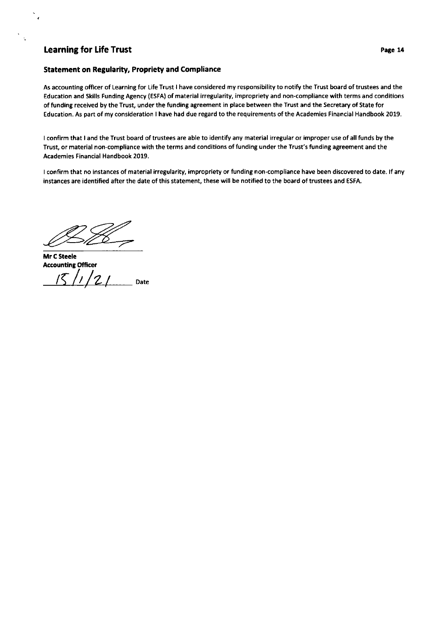## Statement on Regularity, Propriety and Compliance

As accounting officer of Learning for Life Trust I have considered my responsibility to notify the Trust board oftrustees and the Education and Skills Funding Agency (ESFA) of material irregularity, impropriety and non-compliance with terms and conditions of funding received by the Trust, under the funding agreement in place between the Trust and the Secretary of State for Education, As part of my consideration I have had due regard to the requirements of the Academies Financial Handbook 2019.

I confirm that I and the Trust board of trustees are able to identify any material irregular or improper use of all funds by the Trust, or material non-compliance with the terms and conditions of funding under the Trust's funding agreement and the Academies Financial Handbook 2019.

I confirm that no instances of material irregularity, impropriety or funding non-compliance have been discovered to date. lf any instances are identified after the date of this statement, these will be notified to the board oftrustees and ESFA,

 $B$ 

Mr C Steele **Accounting Officer**  $/5$  /1/2/ Date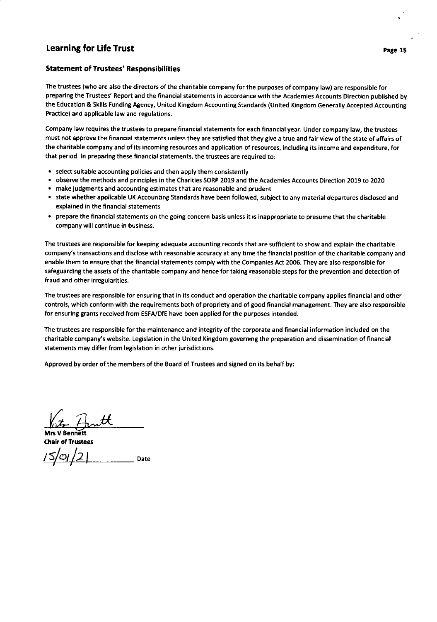## Statement of Trustees' Responsibilities

The trustees (who are also the directors of the charitable company for the purposes of company law) are responsible for preparing the Trustees' Report and the financial statements in accordance with the Academies Accounts Direction published by the Education & Skills Funding Agency, United Kingdom Accounting Standards (United Kingdom Generally Accepted Accounting Practice) and applicable law and regulations.

Company law requires the trustees to prepare financial statements for each financial year. Under company law, the trustees must not approve the financial statements unless they are satisfied that they give a true and fair view of the state of affairs of the charitable company and of its incoming resources and application of resources, including its income and expenditure, for that period. ln preparing these financial statements, the trustees are required to:

- . select suitable accounting policies and then apply them consistently
- . observe the methods and principles in the Charities SORP 2019 and the Academies Accounts Direction 2079 to 2O2O
- . make judgments and accounting estimates that are reasonable and prudent
- . state whether applicable UK Accounting Standards have been followed, subject to any material departures disclosed and explained in the financial statements
- . prepare the financial statements on the going concern basis unless it is inappropriate to presume that the charitable company will continue in business.

The trustees are responsible for keeping adequate accounting records that are sufficient to show and explain the charitable company's transactions and disclose with reasonable accuracy at any time the financial position of the charitable company and enable them to ensure that the financial statements comply with the Companies Act 2006. They are also responsible for safeguarding the assets of the charitable company and hence for taking reasonable steps for the prevention and detection of fraud and other irregularities,

The trustees are responsible for ensuring that in its conduct and operation the charitable company applies financial and other controls, which conform with the requirements both of propriety and of good financial management. They are also responsible for ensuring grants received from ESFA,/DfE have been applied for the purposes intended.

The trustees are responsible for the maintenance and integrity of the corporate and financial information included on the charitable company's website. Legislation in the United Kingdom governing the preparation and dissemination of financial statements may differ from legislation in other jurisdictions.

Approved by order of the members of the Board of Trustees and signed on its behalf by: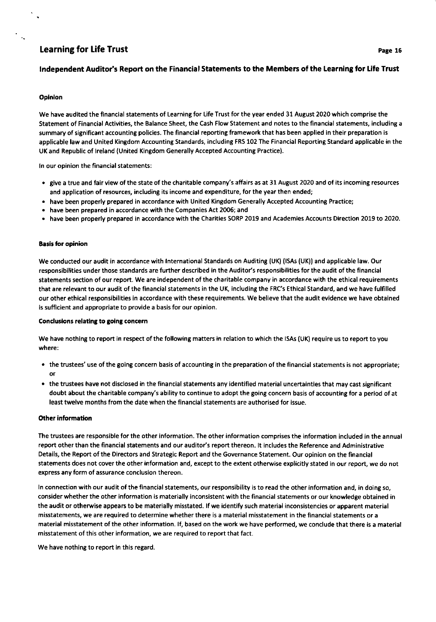## Independent Auditor's Report on the Financial Statements to the Members of the Learning for Life Trust

#### **Opinion**

we have audited the financial statements of Learning for Life Trust for the year ended 31 August 2020 which comprise the Statement of Financial Activities, the Balance Sheet, the Cash Flow Statement and notes to the financial statements, including a summary of significant accounting policies, The financial reporting framework that has been applied in their preparation is applicable law and United Kingdom Accounting standards, including FRs 102 The Financial Reporting Standard applicable in the UK and Republic of lreland (United Kingdom Generally Accepted Accounting Practice).

ln our opinion the financial statements:

- . give a true and fair view of the state of the charitable company's affairs as at 3l August 2020 and of its incoming resources and application of resources, including its income and expenditure, for the year then ended;
- . have been properly prepared in accordance with United Kingdom Generally Accepted Accounting Practice;
- . have been prepared in accordance with the Companies Act 2006; and
- . have been properly prepared in accordance with the charities soRP 2019 and Academies Accounts Direction 2019 to 2020.

#### **Basis for opinion**

We conducted our audit in accordance with International Standards on Auditing (UK) (ISAs (UK)) and applicable law. Our responsibilities under those standards are further described in the Auditor's responsibilities for the audit of the financial statements section of our report. We are independent of the charitable company in accordance with the ethical requirements that are relevant to our audit of the financial statements in the UK, including the FRC's Ethical Standard, and we have fulfilled our other ethical responsibilities in accordance with these requirements. We believe that the audit evidence we have obtained is sufficient and appropriate to provide a basis for our opinion.

#### Conclusions relating to going concern

We have nothing to report in respect of the following matters in relation to which the ISAs (UK) require us to report to you where:

- . the trustees' use of the going concern basis of accounting in the preparation of the financial statements is not appropriate; or
- . the trustees have not disclosed in the financial statements any identified material uncertainties that may cast significant doubt about the charitable company's ability to continue to adopt the going concern basis of accounting for a period of at least twelve months from the date when the financial statements are authorised for issue.

#### **Other information**

The trustees are responsible for the other information. The other information comprises the information included in the annual report other than the financial statements and our auditor's report thereon. It includes the Reference and Administrative Details, the Report of the Directors and Strategic Report and the Governance Statement. Our opinion on the financial statements does not cover the other information and, except to the extent otherwise explicitly stated in our report, we do not express any form of assurance conclusion thereon.

ln connection with our audit of the financial statements, our responsibility is to read the other information and, in doing so, consider whether the other information is materially inconsistent with the financial statements or our knowledge obtained in the audit or otherwise appears to be materially misstated. lf we identify such material inconsistencies or apparent material misstatements, we are required to determine whether there is a material misstatement in the financial statements or a material misstatement of the other information. If, based on the work we have performed, we conclude that there is a material misstatement of this other information, we are required to report that fact.

We have nothing to report in this regard,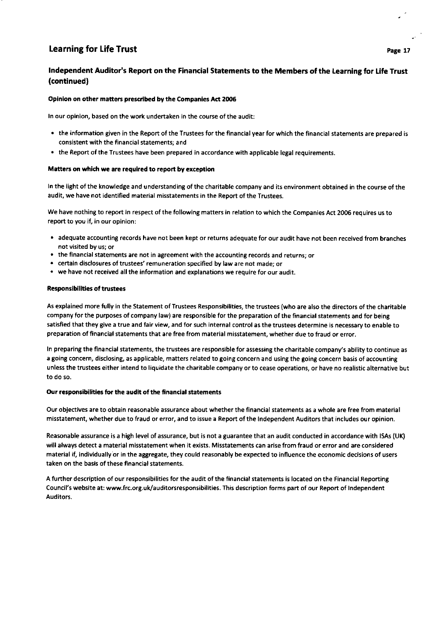## lndependent Auditor's Report on the Financial Statements to the Memberc of the Learning for Life Trust (continued)

## Opinion on other matters prescribed by the Companies Act 2006

ln our opinion, based on the work undertaken in the course of the audit:

- . the information given in the Report of the Trustees for the financial year for which the financial statements are prepared is consistent with the financial statements; and
- . the Report of the Trustees have been prepared in accordance with applicable legal requirements.

#### Matters on which we are required to report by exception

In the light of the knowledge and understanding of the charitable company and its environment obtained in the course of the audit, we have not identified material misstatements in the Report of the Trustees.

We have nothing to report in respect of the following matters in relation to which the Companies Act 2006 requires us to report to you if, in our opinion:

- . adequate accounting records have not been kept or returns adequate for our audit have not been received from branches not visited by us; or
- . the financial statements are not in agreement with the accounting records and returns; or
- . certain disclosures of trustees' remuneration specified by law are not made; or
- . we have not received all the information and explanations we require for our audit.

## Responsibilities of trustees

As explained more fully in the Statement of Trustees Responsibilities, the trustees (who are also the directors of the charitable company for the purposes of company law) are responsible for the preparation of the financial statements and for being satisfied that they give a true and fair view, and for such internal control as the trustees determine is necessary to enable to preparation of financial statements that are free from material misstatement, whether due to fraud or error.

ln preparing the financial statements, the trustees are responsible for assessing the charitable company's ability to continue as <sup>a</sup>going concern, disclosing, as applicable, matters related to going concern and using the going concern basis of accounting unless the trustees either intend to liquidate the charitable company or to cease operations, or have no realistic alternative but to do so.

#### Our responsibilities for the audit of the financial statements

Our objectives are to obtain reasonable assurance about whether the financial statements as a whole are free from material misstatement, whether due to fraud or error, and to issue a Report of the lndependent Auditors that includes our opinion.

Reasonable assurance is a high level of assurance, but is not a guarantee that an audit conducted in accordance with ISAs (UK) will always detect a material misstatement when it exists. Misstatements can arise from fraud or error and are considered material if, individually or in the aggregate, they could reasonably be expected to influence the economic decisions of users taken on the basis of these financial statements.

A further description of our responsibilities for the audit of the financial statements is located on the Financial Reporting Council's website at: www.frc.org.uk/auditorsresponsibilities. This description forms part of our Report of lndependent Auditors.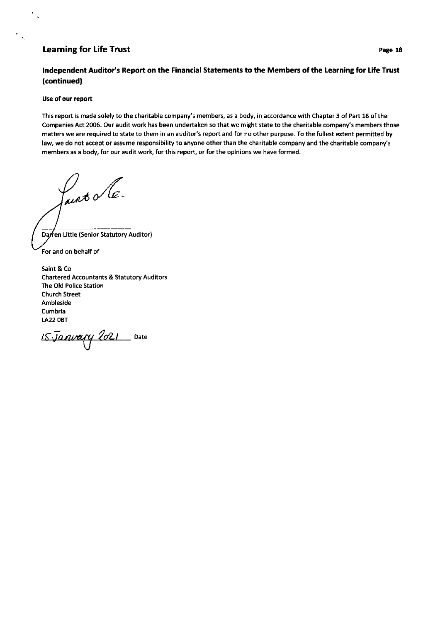## lndependent Auditor's Report on the Financial Statements to the Members of the Learning for Life Trust (continued)

## Use of our report

k,

 $\mathbf{v}_\text{c}$ 

This report is made solely to the charitable company's members, as a body, in accordance with Chapter 3 of Part 15 of the Companies Act 2006. Our audit work has been undertaken so that we might state to the charitable company's members those matters we are required to state to them in an auditor's report and for no other purpose. To the fullest extent permitted by law, we do not accept or assume responsibility to anyone other than the charitable company and the charitable company's members as a body, for our audit work, for this report, or for the opinions we have formed.

Pairt le.

Darren Little (Senior Statutory Auditor) For and on behalf of

Saint & Co Chartered Accountants & Statutory Auditors The Old Police Station Church Street Ambleside Cumbria LA22 OBT

 $15$ Janvary 2021 Date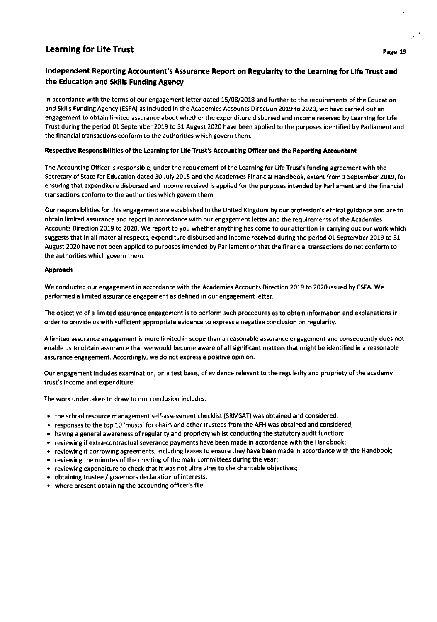## Learning for Life Trust **Page 19** and the set of the set of the set of the set of the set of the set of the set of the set of the set of the set of the set of the set of the set of the set of the set of the set of the set

## Independent Reporting Accountant's Assurance Report on Regularity to the Learning for Life Trust and the Education and Skills Funding Agency

In accordance with the terms of our engagement letter dated 15/08/2018 and further to the requirements of the Education and Skills Funding Agency (ESFA) as included in the Academies Accounts Direction 2019 to 2020, we have carried out an engagement to obtain limited assurance about whether the expenditure disbursed and income received by Learning for Life Trust during the period 01 September 2019 to 31 August 2020 have been applied to the purposes identified by Parliament and the financial transactions conform to the authorities which govern them.

## Respective Responsibilities of the Learning for Life Trust's Accounting Officer and the Reporting Accountant

The Accounting Officer is responsible, under the requirement of the Learning for Life Trust's funding agreement with the Secretary of State for Education dated 30 July 2015 and the Academies Financial Handbook, extant from 1 September 2019, for ensuring that expenditure disbursed and income received is applied for the purposes intended by Parliament and the financial transactions conform to the authorities which govern them.

Our responsibilities for this engagement are established in the United Kingdom by our profession's ethical guidance and are to obtain limited assurance and report in accordance with our engagement letter and the requirements of the Academies Accounts Direction 2019 to 2020. We report to you whether anything has come to our attention in carrying out our work which suggests that in all material respects, expenditure disbursed and income received during the period 01 September 2019 to 31 August 2020 have not been applied to purposes intended by Parliament or that the financial transactions do not conform to the authorities which govern them.

## Approach

We conducted our engagement in accordance with the Academies Accounts Direction 2019 to 2020 issued by ESFA, We performed a limited assurance engagement as defined in our engagement letter.

The objective of a limited assurance engagement is to perform such procedures as to obtain information and explanations in order to provide us with sufficient appropriate evidence to express a negative conclusion on regularity.

A limited assurance engagement is more limited in scope than a reasonable assurance engagement and consequently does not enable us to obtain assurance that we would become aware of all significant matters that might be identified in a reasonable assurance engagement. Accordingly, we do not express a positive opinion.

Our engagement includes examination, on a test basis, of evidence relevant to the regularity and propriety of the academy trust's income and expenditure.

The work undertaken to draw to our conclusion includes:

- the school resource management self-assessment checklist (SRMSAT) was obtained and considered;
- . responses to the top 10'musts'for chairs and other trustees from the AFH was obtained and considered;
- . having a general awareness of regularity and propriety whilst conducting the statutory audit function;
- . reviewing if extra-contractual severance payments have been made in accordance with the Handbook;
- . reviewing if borrowing agreements, including leases to ensure they have been made in accordance with the Handbook;
- . reviewing the minutes of the meeting of the main committees during the year;
- . reviewing expenditure to check that it was not ultra vires to the charitable objectives;
- . obtaining trustee / governors declaration of interests;
- . where present obtaining the accounting oflicer's file.